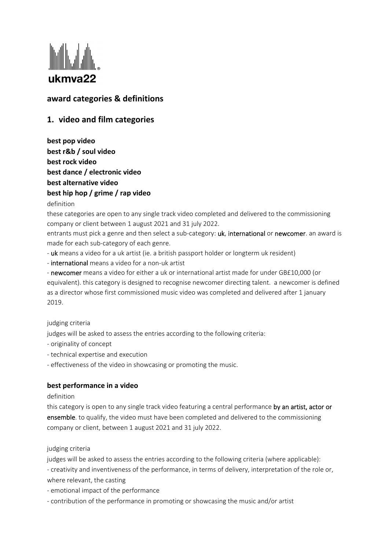

# **award categories & definitions**

# **1. video and film categories**

**best pop video best r&b / soul video best rock video best dance / electronic video best alternative video best hip hop / grime / rap video**

## definition

these categories are open to any single track video completed and delivered to the commissioning company or client between 1 august 2021 and 31 july 2022.

entrants must pick a genre and then select a sub-category: uk, international or newcomer. an award is made for each sub‐category of each genre.

- uk means a video for a uk artist (ie. a british passport holder or longterm uk resident)

‐ international means a video for a non‐uk artist

‐ newcomer means a video for either a uk or international artist made for under GB£10,000 (or equivalent). this category is designed to recognise newcomer directing talent. a newcomer is defined as a director whose first commissioned music video was completed and delivered after 1 january 2019.

#### judging criteria

judges will be asked to assess the entries according to the following criteria:

- ‐ originality of concept
- ‐ technical expertise and execution

‐ effectiveness of the video in showcasing or promoting the music.

# **best performance in a video**

#### definition

this category is open to any single track video featuring a central performance by an artist, actor or ensemble. to qualify, the video must have been completed and delivered to the commissioning company or client, between 1 august 2021 and 31 july 2022.

# judging criteria

judges will be asked to assess the entries according to the following criteria (where applicable): ‐ creativity and inventiveness of the performance, in terms of delivery, interpretation of the role or, where relevant, the casting

- ‐ emotional impact of the performance
- ‐ contribution of the performance in promoting or showcasing the music and/or artist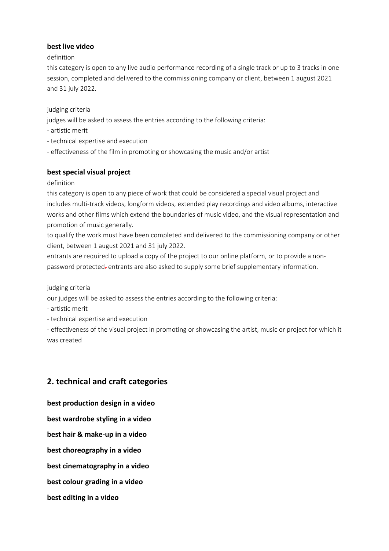# **best live video**

## definition

this category is open to any live audio performance recording of a single track or up to 3 tracks in one session, completed and delivered to the commissioning company or client, between 1 august 2021 and 31 july 2022.

judging criteria

judges will be asked to assess the entries according to the following criteria:

- ‐ artistic merit
- ‐ technical expertise and execution
- ‐ effectiveness of the film in promoting or showcasing the music and/or artist

# **best special visual project**

## definition

this category is open to any piece of work that could be considered a special visual project and includes multi-track videos, longform videos, extended play recordings and video albums, interactive works and other films which extend the boundaries of music video, and the visual representation and promotion of music generally.

to qualify the work must have been completed and delivered to the commissioning company or other client, between 1 august 2021 and 31 july 2022.

entrants are required to upload a copy of the project to our online platform, or to provide a non‐ password protected. entrants are also asked to supply some brief supplementary information.

judging criteria

our judges will be asked to assess the entries according to the following criteria:

- ‐ artistic merit
- ‐ technical expertise and execution

‐ effectiveness of the visual project in promoting or showcasing the artist, music or project for which it was created

# **2. technical and craft categories**

**best production design in a video** **best wardrobe styling in a video best hair & make‐up in a video best choreography in a video best cinematography in a video best colour grading in a video best editing in a video**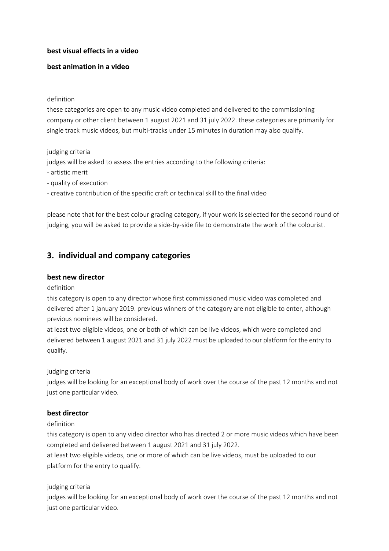# **best visual effects in a video**

# **best animation in a video**

#### definition

these categories are open to any music video completed and delivered to the commissioning company or other client between 1 august 2021 and 31 july 2022. these categories are primarily for single track music videos, but multi-tracks under 15 minutes in duration may also qualify.

## judging criteria

judges will be asked to assess the entries according to the following criteria:

- ‐ artistic merit
- ‐ quality of execution

‐ creative contribution of the specific craft or technical skill to the final video

please note that for the best colour grading category, if your work is selected for the second round of judging, you will be asked to provide a side-by-side file to demonstrate the work of the colourist.

# **3. individual and company categories**

# **best new director**

#### definition

this category is open to any director whose first commissioned music video was completed and delivered after 1 january 2019. previous winners of the category are not eligible to enter, although previous nominees will be considered.

at least two eligible videos, one or both of which can be live videos, which were completed and delivered between 1 august 2021 and 31 july 2022 must be uploaded to our platform for the entry to qualify.

# judging criteria

judges will be looking for an exceptional body of work over the course of the past 12 months and not just one particular video.

# **best director**

#### definition

this category is open to any video director who has directed 2 or more music videos which have been completed and delivered between 1 august 2021 and 31 july 2022.

at least two eligible videos, one or more of which can be live videos, must be uploaded to our platform for the entry to qualify.

# judging criteria

judges will be looking for an exceptional body of work over the course of the past 12 months and not just one particular video.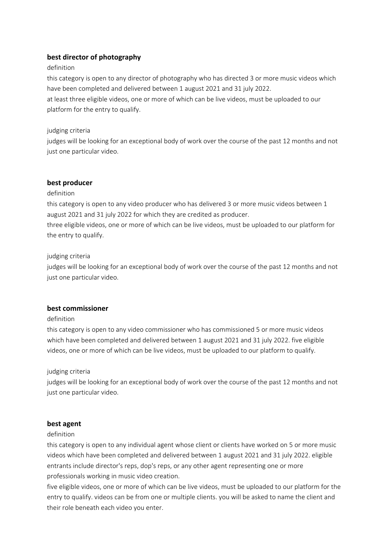# **best director of photography**

## definition

this category is open to any director of photography who has directed 3 or more music videos which have been completed and delivered between 1 august 2021 and 31 july 2022. at least three eligible videos, one or more of which can be live videos, must be uploaded to our platform for the entry to qualify.

## judging criteria

judges will be looking for an exceptional body of work over the course of the past 12 months and not just one particular video.

## **best producer**

#### definition

this category is open to any video producer who has delivered 3 or more music videos between 1 august 2021 and 31 july 2022 for which they are credited as producer.

three eligible videos, one or more of which can be live videos, must be uploaded to our platform for the entry to qualify.

## judging criteria

judges will be looking for an exceptional body of work over the course of the past 12 months and not just one particular video.

# **best commissioner**

#### definition

this category is open to any video commissioner who has commissioned 5 or more music videos which have been completed and delivered between 1 august 2021 and 31 july 2022. five eligible videos, one or more of which can be live videos, must be uploaded to our platform to qualify.

#### judging criteria

judges will be looking for an exceptional body of work over the course of the past 12 months and not just one particular video.

#### **best agent**

#### definition

this category is open to any individual agent whose client or clients have worked on 5 or more music videos which have been completed and delivered between 1 august 2021 and 31 july 2022. eligible entrants include director's reps, dop's reps, or any other agent representing one or more professionals working in music video creation.

five eligible videos, one or more of which can be live videos, must be uploaded to our platform for the entry to qualify. videos can be from one or multiple clients. you will be asked to name the client and their role beneath each video you enter.